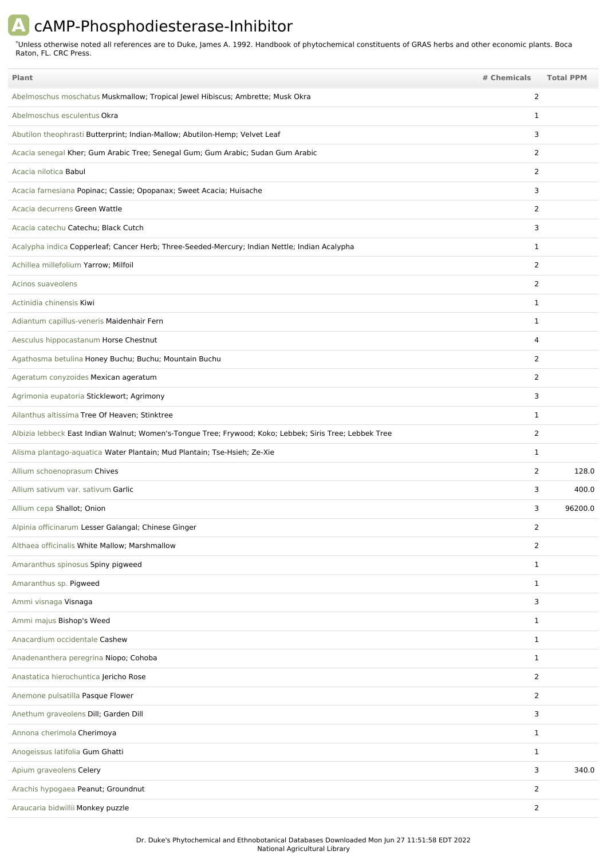## **A** cAMP-Phosphodiesterase-Inhibitor

Unless otherwise noted all references are to Duke, James A. 1992. Handbook of phytochemical constituents of GRAS herbs and other economic plants. Boca Raton, FL. CRC Press. \*

| <b>Plant</b>                                                                                            | # Chemicals    | <b>Total PPM</b> |
|---------------------------------------------------------------------------------------------------------|----------------|------------------|
| Abelmoschus moschatus Muskmallow; Tropical Jewel Hibiscus; Ambrette; Musk Okra                          | 2              |                  |
| Abelmoschus esculentus Okra                                                                             | $\mathbf{1}$   |                  |
| Abutilon theophrasti Butterprint; Indian-Mallow; Abutilon-Hemp; Velvet Leaf                             | 3              |                  |
| Acacia senegal Kher; Gum Arabic Tree; Senegal Gum; Gum Arabic; Sudan Gum Arabic                         | $\overline{2}$ |                  |
| Acacia nilotica Babul                                                                                   | 2              |                  |
| Acacia farnesiana Popinac; Cassie; Opopanax; Sweet Acacia; Huisache                                     | 3              |                  |
| Acacia decurrens Green Wattle                                                                           | 2              |                  |
| Acacia catechu Catechu; Black Cutch                                                                     | 3              |                  |
| Acalypha indica Copperleaf; Cancer Herb; Three-Seeded-Mercury; Indian Nettle; Indian Acalypha           | $\mathbf{1}$   |                  |
| Achillea millefolium Yarrow; Milfoil                                                                    | $\overline{2}$ |                  |
| Acinos suaveolens                                                                                       | 2              |                  |
| Actinidia chinensis Kiwi                                                                                | 1              |                  |
| Adiantum capillus-veneris Maidenhair Fern                                                               | $\mathbf 1$    |                  |
| Aesculus hippocastanum Horse Chestnut                                                                   | 4              |                  |
| Agathosma betulina Honey Buchu; Buchu; Mountain Buchu                                                   | $\overline{2}$ |                  |
| Ageratum conyzoides Mexican ageratum                                                                    | $\overline{2}$ |                  |
| Agrimonia eupatoria Sticklewort; Agrimony                                                               | 3              |                  |
| Ailanthus altissima Tree Of Heaven; Stinktree                                                           | $\mathbf{1}$   |                  |
| Albizia lebbeck East Indian Walnut; Women's-Tongue Tree; Frywood; Koko; Lebbek; Siris Tree; Lebbek Tree | $\overline{2}$ |                  |
| Alisma plantago-aquatica Water Plantain; Mud Plantain; Tse-Hsieh; Ze-Xie                                | $\mathbf 1$    |                  |
| Allium schoenoprasum Chives                                                                             | $\overline{2}$ | 128.0            |
| Allium sativum var. sativum Garlic                                                                      | 3              | 400.0            |
| Allium cepa Shallot; Onion                                                                              | 3              | 96200.0          |
| Alpinia officinarum Lesser Galangal; Chinese Ginger                                                     | 2              |                  |
| Althaea officinalis White Mallow; Marshmallow                                                           | $\overline{2}$ |                  |
| Amaranthus spinosus Spiny pigweed                                                                       | $\mathbf{1}$   |                  |
| Amaranthus sp. Pigweed                                                                                  | $\mathbf{1}$   |                  |
| Ammi visnaga Visnaga                                                                                    | 3              |                  |
| Ammi majus Bishop's Weed                                                                                | $\mathbf{1}$   |                  |
| Anacardium occidentale Cashew                                                                           | $\mathbf{1}$   |                  |
| Anadenanthera peregrina Niopo; Cohoba                                                                   | $\mathbf{1}$   |                  |
| Anastatica hierochuntica Jericho Rose                                                                   | $\overline{2}$ |                  |
| Anemone pulsatilla Pasque Flower                                                                        | $\overline{2}$ |                  |
| Anethum graveolens Dill; Garden Dill                                                                    | 3              |                  |
| Annona cherimola Cherimoya                                                                              | $\mathbf{1}$   |                  |
| Anogeissus latifolia Gum Ghatti                                                                         | $\mathbf{1}$   |                  |
| Apium graveolens Celery                                                                                 | 3              | 340.0            |
| Arachis hypogaea Peanut; Groundnut                                                                      | $\overline{2}$ |                  |
| Araucaria bidwillii Monkey puzzle                                                                       | $\overline{2}$ |                  |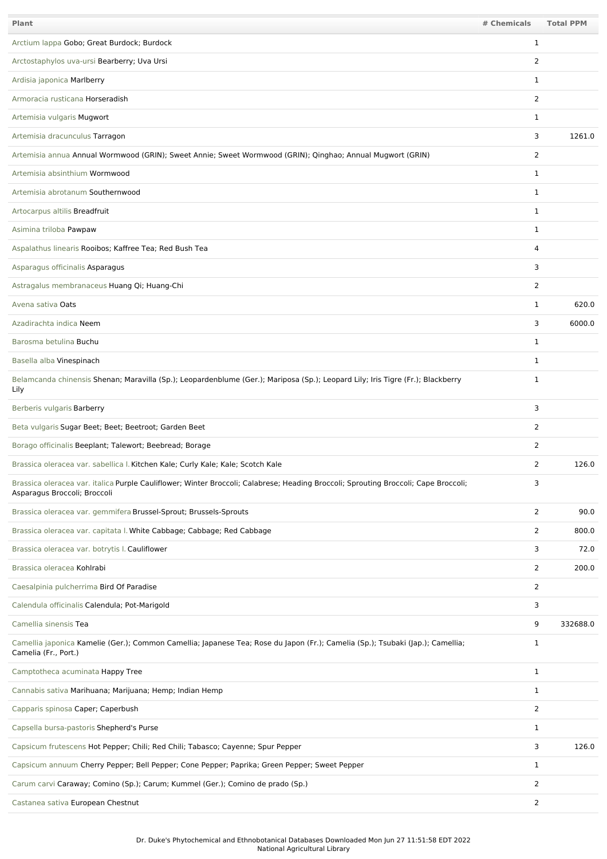| Plant                                                                                                                                                               | # Chemicals    | <b>Total PPM</b> |
|---------------------------------------------------------------------------------------------------------------------------------------------------------------------|----------------|------------------|
| Arctium lappa Gobo; Great Burdock; Burdock                                                                                                                          | $\mathbf{1}$   |                  |
| Arctostaphylos uva-ursi Bearberry; Uva Ursi                                                                                                                         | 2              |                  |
| Ardisia japonica Marlberry                                                                                                                                          | 1              |                  |
| Armoracia rusticana Horseradish                                                                                                                                     | 2              |                  |
| Artemisia vulgaris Mugwort                                                                                                                                          | 1              |                  |
| Artemisia dracunculus Tarragon                                                                                                                                      | 3              | 1261.0           |
| Artemisia annua Annual Wormwood (GRIN); Sweet Annie; Sweet Wormwood (GRIN); Qinghao; Annual Mugwort (GRIN)                                                          | 2              |                  |
| Artemisia absinthium Wormwood                                                                                                                                       | 1              |                  |
| Artemisia abrotanum Southernwood                                                                                                                                    | 1              |                  |
| Artocarpus altilis Breadfruit                                                                                                                                       | $\mathbf{1}$   |                  |
| Asimina triloba Pawpaw                                                                                                                                              | 1              |                  |
| Aspalathus linearis Rooibos; Kaffree Tea; Red Bush Tea                                                                                                              | 4              |                  |
| Asparagus officinalis Asparagus                                                                                                                                     | 3              |                  |
| Astragalus membranaceus Huang Qi; Huang-Chi                                                                                                                         | 2              |                  |
| Avena sativa Oats                                                                                                                                                   | 1              | 620.0            |
| Azadirachta indica Neem                                                                                                                                             | 3              | 6000.0           |
| Barosma betulina Buchu                                                                                                                                              | 1              |                  |
| Basella alba Vinespinach                                                                                                                                            | 1              |                  |
| Belamcanda chinensis Shenan; Maravilla (Sp.); Leopardenblume (Ger.); Mariposa (Sp.); Leopard Lily; Iris Tigre (Fr.); Blackberry<br>Lily                             | 1              |                  |
| Berberis vulgaris Barberry                                                                                                                                          | 3              |                  |
| Beta vulgaris Sugar Beet; Beet; Beetroot; Garden Beet                                                                                                               | 2              |                  |
| Borago officinalis Beeplant; Talewort; Beebread; Borage                                                                                                             | $\overline{2}$ |                  |
| Brassica oleracea var. sabellica I. Kitchen Kale; Curly Kale; Kale; Scotch Kale                                                                                     | 2              | 126.0            |
| Brassica oleracea var. italica Purple Cauliflower; Winter Broccoli; Calabrese; Heading Broccoli; Sprouting Broccoli; Cape Broccoli;<br>Asparagus Broccoli; Broccoli | 3              |                  |
| Brassica oleracea var. gemmifera Brussel-Sprout; Brussels-Sprouts                                                                                                   | 2              | 90.0             |
| Brassica oleracea var. capitata I. White Cabbage; Cabbage; Red Cabbage                                                                                              | $\overline{2}$ | 800.0            |
| Brassica oleracea var. botrytis I. Cauliflower                                                                                                                      | 3              | 72.0             |
| Brassica oleracea Kohlrabi                                                                                                                                          | 2              | 200.0            |
| Caesalpinia pulcherrima Bird Of Paradise                                                                                                                            | $\overline{2}$ |                  |
| Calendula officinalis Calendula; Pot-Marigold                                                                                                                       | 3              |                  |
| Camellia sinensis Tea                                                                                                                                               | 9              | 332688.0         |
| Camellia japonica Kamelie (Ger.); Common Camellia; Japanese Tea; Rose du Japon (Fr.); Camelia (Sp.); Tsubaki (Jap.); Camellia;<br>Camelia (Fr., Port.)              | $\mathbf{1}$   |                  |
| Camptotheca acuminata Happy Tree                                                                                                                                    | 1              |                  |
| Cannabis sativa Marihuana; Marijuana; Hemp; Indian Hemp                                                                                                             | 1              |                  |
| Capparis spinosa Caper; Caperbush                                                                                                                                   | 2              |                  |
| Capsella bursa-pastoris Shepherd's Purse                                                                                                                            | 1              |                  |
| Capsicum frutescens Hot Pepper; Chili; Red Chili; Tabasco; Cayenne; Spur Pepper                                                                                     | 3              | 126.0            |
| Capsicum annuum Cherry Pepper; Bell Pepper; Cone Pepper; Paprika; Green Pepper; Sweet Pepper                                                                        | 1              |                  |
| Carum carvi Caraway; Comino (Sp.); Carum; Kummel (Ger.); Comino de prado (Sp.)                                                                                      | $\overline{2}$ |                  |
| Castanea sativa European Chestnut                                                                                                                                   | $\overline{2}$ |                  |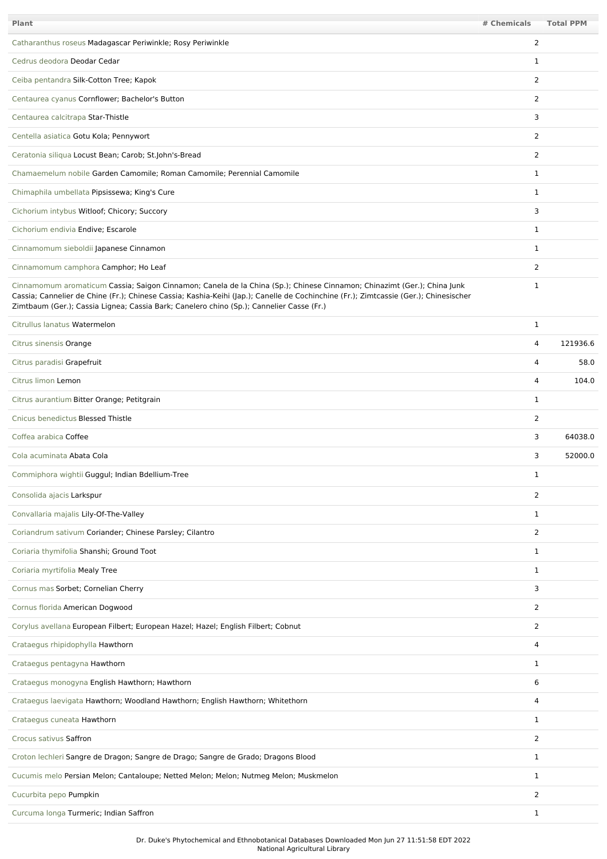| Plant                                                                                                                                                                                                                                                                                                                                                       | # Chemicals    | <b>Total PPM</b> |
|-------------------------------------------------------------------------------------------------------------------------------------------------------------------------------------------------------------------------------------------------------------------------------------------------------------------------------------------------------------|----------------|------------------|
| Catharanthus roseus Madagascar Periwinkle; Rosy Periwinkle                                                                                                                                                                                                                                                                                                  | $\overline{2}$ |                  |
| Cedrus deodora Deodar Cedar                                                                                                                                                                                                                                                                                                                                 | 1              |                  |
| Ceiba pentandra Silk-Cotton Tree; Kapok                                                                                                                                                                                                                                                                                                                     | $\overline{2}$ |                  |
| Centaurea cyanus Cornflower; Bachelor's Button                                                                                                                                                                                                                                                                                                              | $\overline{2}$ |                  |
| Centaurea calcitrapa Star-Thistle                                                                                                                                                                                                                                                                                                                           | 3              |                  |
| Centella asiatica Gotu Kola; Pennywort                                                                                                                                                                                                                                                                                                                      | $\overline{2}$ |                  |
| Ceratonia siliqua Locust Bean; Carob; St.John's-Bread                                                                                                                                                                                                                                                                                                       | $\overline{2}$ |                  |
| Chamaemelum nobile Garden Camomile; Roman Camomile; Perennial Camomile                                                                                                                                                                                                                                                                                      | 1              |                  |
| Chimaphila umbellata Pipsissewa; King's Cure                                                                                                                                                                                                                                                                                                                | 1              |                  |
| Cichorium intybus Witloof; Chicory; Succory                                                                                                                                                                                                                                                                                                                 | 3              |                  |
| Cichorium endivia Endive; Escarole                                                                                                                                                                                                                                                                                                                          | $\mathbf 1$    |                  |
| Cinnamomum sieboldii Japanese Cinnamon                                                                                                                                                                                                                                                                                                                      | $\mathbf{1}$   |                  |
| Cinnamomum camphora Camphor; Ho Leaf                                                                                                                                                                                                                                                                                                                        | $\overline{2}$ |                  |
| Cinnamomum aromaticum Cassia; Saigon Cinnamon; Canela de la China (Sp.); Chinese Cinnamon; Chinazimt (Ger.); China Junk<br>Cassia; Cannelier de Chine (Fr.); Chinese Cassia; Kashia-Keihi (Jap.); Canelle de Cochinchine (Fr.); Zimtcassie (Ger.); Chinesischer<br>Zimtbaum (Ger.); Cassia Lignea; Cassia Bark; Canelero chino (Sp.); Cannelier Casse (Fr.) | 1              |                  |
| Citrullus lanatus Watermelon                                                                                                                                                                                                                                                                                                                                | 1              |                  |
| Citrus sinensis Orange                                                                                                                                                                                                                                                                                                                                      | 4              | 121936.6         |
| Citrus paradisi Grapefruit                                                                                                                                                                                                                                                                                                                                  | 4              | 58.0             |
| Citrus limon Lemon                                                                                                                                                                                                                                                                                                                                          | $\overline{4}$ | 104.0            |
| Citrus aurantium Bitter Orange; Petitgrain                                                                                                                                                                                                                                                                                                                  | 1              |                  |
| Cnicus benedictus Blessed Thistle                                                                                                                                                                                                                                                                                                                           | $\overline{2}$ |                  |
| Coffea arabica Coffee                                                                                                                                                                                                                                                                                                                                       | 3              | 64038.0          |
| Cola acuminata Abata Cola                                                                                                                                                                                                                                                                                                                                   | 3              | 52000.0          |
| Commiphora wightii Guggul; Indian Bdellium-Tree                                                                                                                                                                                                                                                                                                             | 1              |                  |
| Consolida ajacis Larkspur                                                                                                                                                                                                                                                                                                                                   | 2              |                  |
| Convallaria majalis Lily-Of-The-Valley                                                                                                                                                                                                                                                                                                                      | $\mathbf{1}$   |                  |
| Coriandrum sativum Coriander; Chinese Parsley; Cilantro                                                                                                                                                                                                                                                                                                     | $\overline{2}$ |                  |
| Coriaria thymifolia Shanshi; Ground Toot                                                                                                                                                                                                                                                                                                                    | $\mathbf{1}$   |                  |
| Coriaria myrtifolia Mealy Tree                                                                                                                                                                                                                                                                                                                              | 1              |                  |
| Cornus mas Sorbet; Cornelian Cherry                                                                                                                                                                                                                                                                                                                         | 3              |                  |
| Cornus florida American Dogwood                                                                                                                                                                                                                                                                                                                             | $\overline{2}$ |                  |
| Corylus avellana European Filbert; European Hazel; Hazel; English Filbert; Cobnut                                                                                                                                                                                                                                                                           | $\overline{2}$ |                  |
| Crataegus rhipidophylla Hawthorn                                                                                                                                                                                                                                                                                                                            | 4              |                  |
| Crataegus pentagyna Hawthorn                                                                                                                                                                                                                                                                                                                                | 1              |                  |
| Crataegus monogyna English Hawthorn; Hawthorn                                                                                                                                                                                                                                                                                                               | 6              |                  |
| Crataegus laevigata Hawthorn; Woodland Hawthorn; English Hawthorn; Whitethorn                                                                                                                                                                                                                                                                               | 4              |                  |
| Crataegus cuneata Hawthorn                                                                                                                                                                                                                                                                                                                                  | $\mathbf{1}$   |                  |
| Crocus sativus Saffron                                                                                                                                                                                                                                                                                                                                      | $\overline{2}$ |                  |
| Croton lechleri Sangre de Dragon; Sangre de Drago; Sangre de Grado; Dragons Blood                                                                                                                                                                                                                                                                           | 1              |                  |
| Cucumis melo Persian Melon; Cantaloupe; Netted Melon; Melon; Nutmeg Melon; Muskmelon                                                                                                                                                                                                                                                                        | 1              |                  |
| Cucurbita pepo Pumpkin                                                                                                                                                                                                                                                                                                                                      | $\overline{2}$ |                  |
| Curcuma longa Turmeric; Indian Saffron                                                                                                                                                                                                                                                                                                                      | $\mathbf{1}$   |                  |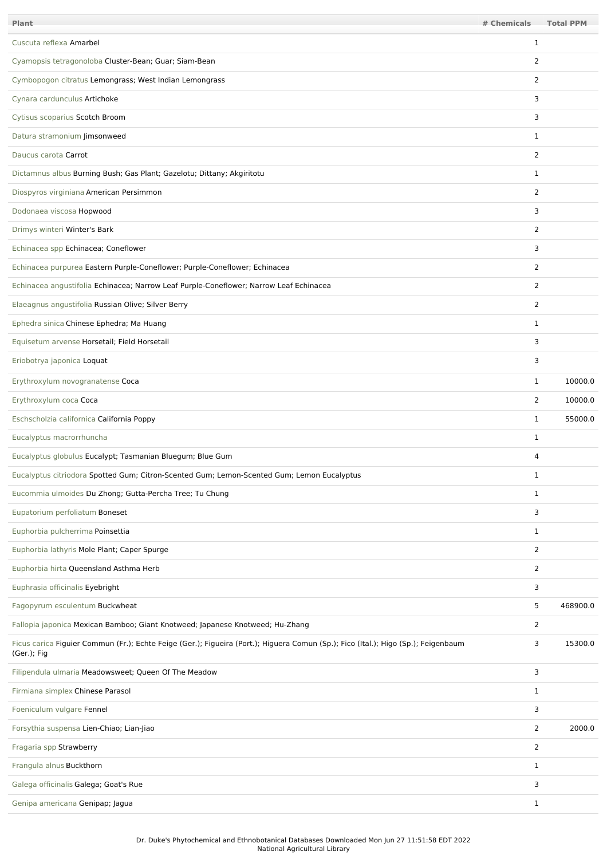| <b>Plant</b>                                                                                                                                      | # Chemicals    | <b>Total PPM</b> |
|---------------------------------------------------------------------------------------------------------------------------------------------------|----------------|------------------|
| Cuscuta reflexa Amarbel                                                                                                                           | $\mathbf{1}$   |                  |
| Cyamopsis tetragonoloba Cluster-Bean; Guar; Siam-Bean                                                                                             | 2              |                  |
| Cymbopogon citratus Lemongrass; West Indian Lemongrass                                                                                            | $\overline{2}$ |                  |
| Cynara cardunculus Artichoke                                                                                                                      | 3              |                  |
| Cytisus scoparius Scotch Broom                                                                                                                    | 3              |                  |
| Datura stramonium Jimsonweed                                                                                                                      | $\mathbf 1$    |                  |
| Daucus carota Carrot                                                                                                                              | 2              |                  |
| Dictamnus albus Burning Bush; Gas Plant; Gazelotu; Dittany; Akgiritotu                                                                            | 1              |                  |
| Diospyros virginiana American Persimmon                                                                                                           | $\overline{2}$ |                  |
| Dodonaea viscosa Hopwood                                                                                                                          | 3              |                  |
| Drimys winteri Winter's Bark                                                                                                                      | $\overline{2}$ |                  |
| Echinacea spp Echinacea; Coneflower                                                                                                               | 3              |                  |
| Echinacea purpurea Eastern Purple-Coneflower; Purple-Coneflower; Echinacea                                                                        | $\overline{2}$ |                  |
| Echinacea angustifolia Echinacea; Narrow Leaf Purple-Coneflower; Narrow Leaf Echinacea                                                            | $\overline{2}$ |                  |
| Elaeagnus angustifolia Russian Olive; Silver Berry                                                                                                | 2              |                  |
| Ephedra sinica Chinese Ephedra; Ma Huang                                                                                                          | $\mathbf{1}$   |                  |
| Equisetum arvense Horsetail; Field Horsetail                                                                                                      | 3              |                  |
| Eriobotrya japonica Loquat                                                                                                                        | 3              |                  |
| Erythroxylum novogranatense Coca                                                                                                                  | $\mathbf{1}$   | 10000.0          |
| Erythroxylum coca Coca                                                                                                                            | $\overline{2}$ | 10000.0          |
| Eschscholzia californica California Poppy                                                                                                         | $\mathbf{1}$   | 55000.0          |
| Eucalyptus macrorrhuncha                                                                                                                          | $\mathbf 1$    |                  |
| Eucalyptus globulus Eucalypt; Tasmanian Bluegum; Blue Gum                                                                                         | $\overline{4}$ |                  |
| Eucalyptus citriodora Spotted Gum; Citron-Scented Gum; Lemon-Scented Gum; Lemon Eucalyptus                                                        | 1              |                  |
| Eucommia ulmoides Du Zhong; Gutta-Percha Tree; Tu Chung                                                                                           | $\mathbf{1}$   |                  |
| Eupatorium perfoliatum Boneset                                                                                                                    | 3              |                  |
| Euphorbia pulcherrima Poinsettia                                                                                                                  | 1              |                  |
| Euphorbia lathyris Mole Plant; Caper Spurge                                                                                                       | $\overline{2}$ |                  |
| Euphorbia hirta Queensland Asthma Herb                                                                                                            | $\overline{2}$ |                  |
| Euphrasia officinalis Eyebright                                                                                                                   | 3              |                  |
| Fagopyrum esculentum Buckwheat                                                                                                                    | 5              | 468900.0         |
| Fallopia japonica Mexican Bamboo; Giant Knotweed; Japanese Knotweed; Hu-Zhang                                                                     | $\overline{2}$ |                  |
| Ficus carica Figuier Commun (Fr.); Echte Feige (Ger.); Figueira (Port.); Higuera Comun (Sp.); Fico (Ital.); Higo (Sp.); Feigenbaum<br>(Ger.); Fig | 3              | 15300.0          |
| Filipendula ulmaria Meadowsweet; Queen Of The Meadow                                                                                              | 3              |                  |
| Firmiana simplex Chinese Parasol                                                                                                                  | $\mathbf{1}$   |                  |
| Foeniculum vulgare Fennel                                                                                                                         | 3              |                  |
| Forsythia suspensa Lien-Chiao; Lian-Jiao                                                                                                          | $\overline{2}$ | 2000.0           |
| Fragaria spp Strawberry                                                                                                                           | $\overline{2}$ |                  |
| Frangula alnus Buckthorn                                                                                                                          | 1              |                  |
| Galega officinalis Galega; Goat's Rue                                                                                                             | 3              |                  |
| Genipa americana Genipap; Jagua                                                                                                                   | $\mathbf{1}$   |                  |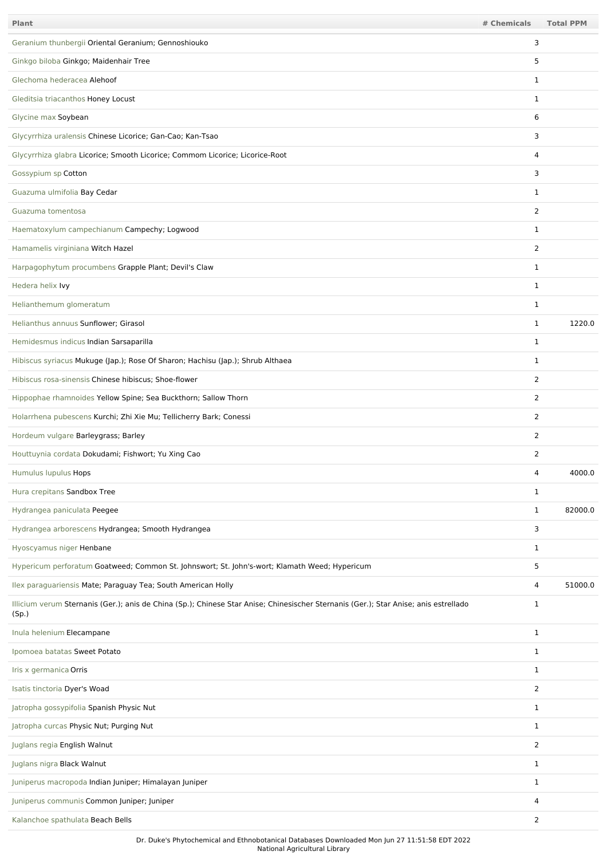| Plant                                                                                                                                         | # Chemicals    | <b>Total PPM</b> |
|-----------------------------------------------------------------------------------------------------------------------------------------------|----------------|------------------|
| Geranium thunbergii Oriental Geranium; Gennoshiouko                                                                                           | 3              |                  |
| Ginkgo biloba Ginkgo; Maidenhair Tree                                                                                                         | 5              |                  |
| Glechoma hederacea Alehoof                                                                                                                    | $\mathbf{1}$   |                  |
| Gleditsia triacanthos Honey Locust                                                                                                            | $\mathbf 1$    |                  |
| Glycine max Soybean                                                                                                                           | 6              |                  |
| Glycyrrhiza uralensis Chinese Licorice; Gan-Cao; Kan-Tsao                                                                                     | 3              |                  |
| Glycyrrhiza glabra Licorice; Smooth Licorice; Commom Licorice; Licorice-Root                                                                  | 4              |                  |
| Gossypium sp Cotton                                                                                                                           | 3              |                  |
| Guazuma ulmifolia Bay Cedar                                                                                                                   | 1              |                  |
| Guazuma tomentosa                                                                                                                             | $\overline{2}$ |                  |
| Haematoxylum campechianum Campechy; Logwood                                                                                                   | $\mathbf 1$    |                  |
| Hamamelis virginiana Witch Hazel                                                                                                              | $\overline{2}$ |                  |
| Harpagophytum procumbens Grapple Plant; Devil's Claw                                                                                          | $\mathbf 1$    |                  |
| Hedera helix Ivy                                                                                                                              | $\mathbf{1}$   |                  |
| Helianthemum glomeratum                                                                                                                       | $\mathbf 1$    |                  |
| Helianthus annuus Sunflower; Girasol                                                                                                          | $\mathbf{1}$   | 1220.0           |
| Hemidesmus indicus Indian Sarsaparilla                                                                                                        | $\mathbf 1$    |                  |
| Hibiscus syriacus Mukuge (Jap.); Rose Of Sharon; Hachisu (Jap.); Shrub Althaea                                                                | $\mathbf{1}$   |                  |
| Hibiscus rosa-sinensis Chinese hibiscus; Shoe-flower                                                                                          | $\overline{2}$ |                  |
| Hippophae rhamnoides Yellow Spine; Sea Buckthorn; Sallow Thorn                                                                                | $\overline{2}$ |                  |
| Holarrhena pubescens Kurchi; Zhi Xie Mu; Tellicherry Bark; Conessi                                                                            | $\overline{2}$ |                  |
| Hordeum vulgare Barleygrass; Barley                                                                                                           | $\overline{2}$ |                  |
| Houttuynia cordata Dokudami; Fishwort; Yu Xing Cao                                                                                            | 2              |                  |
| Humulus lupulus Hops                                                                                                                          | 4              | 4000.0           |
| Hura crepitans Sandbox Tree                                                                                                                   | 1              |                  |
| Hydrangea paniculata Peegee                                                                                                                   | 1              | 82000.0          |
| Hydrangea arborescens Hydrangea; Smooth Hydrangea                                                                                             | 3              |                  |
| Hyoscyamus niger Henbane                                                                                                                      | 1              |                  |
| Hypericum perforatum Goatweed; Common St. Johnswort; St. John's-wort; Klamath Weed; Hypericum                                                 | 5              |                  |
| Ilex paraguariensis Mate; Paraguay Tea; South American Holly                                                                                  | 4              | 51000.0          |
| Illicium verum Sternanis (Ger.); anis de China (Sp.); Chinese Star Anise; Chinesischer Sternanis (Ger.); Star Anise; anis estrellado<br>(Sp.) | $\mathbf{1}$   |                  |
| Inula helenium Elecampane                                                                                                                     | $\mathbf{1}$   |                  |
| Ipomoea batatas Sweet Potato                                                                                                                  | $\mathbf{1}$   |                  |
| Iris x germanica Orris                                                                                                                        | 1              |                  |
| Isatis tinctoria Dyer's Woad                                                                                                                  | $\overline{2}$ |                  |
| Jatropha gossypifolia Spanish Physic Nut                                                                                                      | $\mathbf 1$    |                  |
| Jatropha curcas Physic Nut; Purging Nut                                                                                                       | 1              |                  |
| Juglans regia English Walnut                                                                                                                  | $\overline{2}$ |                  |
| Juglans nigra Black Walnut                                                                                                                    | 1              |                  |
| Juniperus macropoda Indian Juniper; Himalayan Juniper                                                                                         | 1              |                  |
| Juniperus communis Common Juniper; Juniper                                                                                                    | 4              |                  |
| Kalanchoe spathulata Beach Bells                                                                                                              | $\overline{2}$ |                  |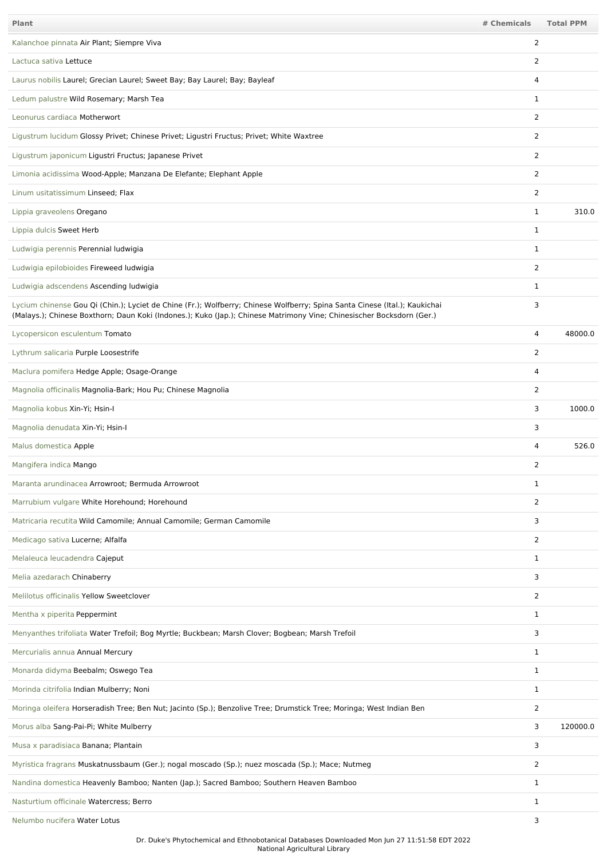| <b>Plant</b>                                                                                                                                                                                                                                        | # Chemicals    | <b>Total PPM</b> |
|-----------------------------------------------------------------------------------------------------------------------------------------------------------------------------------------------------------------------------------------------------|----------------|------------------|
| Kalanchoe pinnata Air Plant; Siempre Viva                                                                                                                                                                                                           | 2              |                  |
| Lactuca sativa Lettuce                                                                                                                                                                                                                              | 2              |                  |
| Laurus nobilis Laurel; Grecian Laurel; Sweet Bay; Bay Laurel; Bay; Bayleaf                                                                                                                                                                          | 4              |                  |
| Ledum palustre Wild Rosemary; Marsh Tea                                                                                                                                                                                                             | $\mathbf 1$    |                  |
| Leonurus cardiaca Motherwort                                                                                                                                                                                                                        | $\overline{2}$ |                  |
| Ligustrum lucidum Glossy Privet; Chinese Privet; Ligustri Fructus; Privet; White Waxtree                                                                                                                                                            | 2              |                  |
| Ligustrum japonicum Ligustri Fructus; Japanese Privet                                                                                                                                                                                               | 2              |                  |
| Limonia acidissima Wood-Apple; Manzana De Elefante; Elephant Apple                                                                                                                                                                                  | 2              |                  |
| Linum usitatissimum Linseed; Flax                                                                                                                                                                                                                   | 2              |                  |
| Lippia graveolens Oregano                                                                                                                                                                                                                           | $\mathbf{1}$   | 310.0            |
| Lippia dulcis Sweet Herb                                                                                                                                                                                                                            | $\mathbf 1$    |                  |
| Ludwigia perennis Perennial ludwigia                                                                                                                                                                                                                | $\mathbf{1}$   |                  |
| Ludwigia epilobioides Fireweed ludwigia                                                                                                                                                                                                             | 2              |                  |
| Ludwigia adscendens Ascending ludwigia                                                                                                                                                                                                              | $\mathbf{1}$   |                  |
| Lycium chinense Gou Qi (Chin.); Lyciet de Chine (Fr.); Wolfberry; Chinese Wolfberry; Spina Santa Cinese (Ital.); Kaukichai<br>(Malays.); Chinese Boxthorn; Daun Koki (Indones.); Kuko (Jap.); Chinese Matrimony Vine; Chinesischer Bocksdorn (Ger.) | 3              |                  |
| Lycopersicon esculentum Tomato                                                                                                                                                                                                                      | 4              | 48000.0          |
| Lythrum salicaria Purple Loosestrife                                                                                                                                                                                                                | $\overline{2}$ |                  |
| Maclura pomifera Hedge Apple; Osage-Orange                                                                                                                                                                                                          | $\overline{4}$ |                  |
| Magnolia officinalis Magnolia-Bark; Hou Pu; Chinese Magnolia                                                                                                                                                                                        | 2              |                  |
| Magnolia kobus Xin-Yi; Hsin-I                                                                                                                                                                                                                       | 3              | 1000.0           |
| Magnolia denudata Xin-Yi; Hsin-I                                                                                                                                                                                                                    | 3              |                  |
| Malus domestica Apple                                                                                                                                                                                                                               | 4              | 526.0            |
| Mangifera indica Mango                                                                                                                                                                                                                              | 2              |                  |
| Maranta arundinacea Arrowroot; Bermuda Arrowroot                                                                                                                                                                                                    | 1              |                  |
| Marrubium vulgare White Horehound; Horehound                                                                                                                                                                                                        | $\overline{2}$ |                  |
| Matricaria recutita Wild Camomile; Annual Camomile; German Camomile                                                                                                                                                                                 | 3              |                  |
| Medicago sativa Lucerne; Alfalfa                                                                                                                                                                                                                    | 2              |                  |
| Melaleuca leucadendra Cajeput                                                                                                                                                                                                                       | 1              |                  |
| Melia azedarach Chinaberry                                                                                                                                                                                                                          | 3              |                  |
| Melilotus officinalis Yellow Sweetclover                                                                                                                                                                                                            | $\overline{2}$ |                  |
| Mentha x piperita Peppermint                                                                                                                                                                                                                        | 1              |                  |
| Menyanthes trifoliata Water Trefoil; Bog Myrtle; Buckbean; Marsh Clover; Bogbean; Marsh Trefoil                                                                                                                                                     | 3              |                  |
| Mercurialis annua Annual Mercury                                                                                                                                                                                                                    | $\mathbf 1$    |                  |
| Monarda didyma Beebalm; Oswego Tea                                                                                                                                                                                                                  | $\mathbf 1$    |                  |
| Morinda citrifolia Indian Mulberry; Noni                                                                                                                                                                                                            | 1              |                  |
| Moringa oleifera Horseradish Tree; Ben Nut; Jacinto (Sp.); Benzolive Tree; Drumstick Tree; Moringa; West Indian Ben                                                                                                                                 | $\overline{2}$ |                  |
| Morus alba Sang-Pai-Pi; White Mulberry                                                                                                                                                                                                              | 3              | 120000.0         |
| Musa x paradisiaca Banana; Plantain                                                                                                                                                                                                                 | 3              |                  |
| Myristica fragrans Muskatnussbaum (Ger.); nogal moscado (Sp.); nuez moscada (Sp.); Mace; Nutmeg                                                                                                                                                     | 2              |                  |
| Nandina domestica Heavenly Bamboo; Nanten (Jap.); Sacred Bamboo; Southern Heaven Bamboo                                                                                                                                                             | 1              |                  |
| Nasturtium officinale Watercress; Berro                                                                                                                                                                                                             | 1              |                  |
| Nelumbo nucifera Water Lotus                                                                                                                                                                                                                        | 3              |                  |

Dr. Duke's Phytochemical and Ethnobotanical Databases Downloaded Mon Jun 27 11:51:58 EDT 2022 National Agricultural Library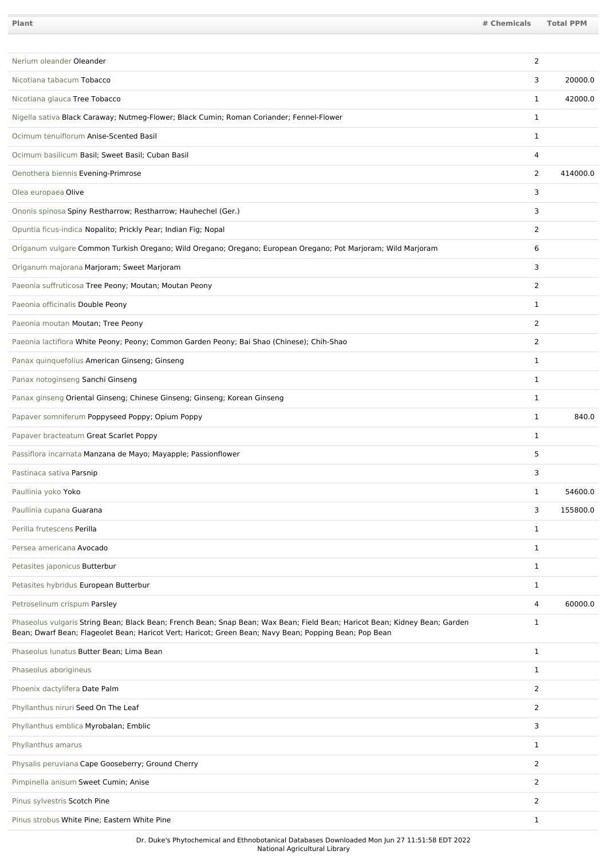| Plant                                                                                                                                                                                                                                 | # Chemicals    | Total PPM |
|---------------------------------------------------------------------------------------------------------------------------------------------------------------------------------------------------------------------------------------|----------------|-----------|
|                                                                                                                                                                                                                                       |                |           |
| Nerium oleander Oleander                                                                                                                                                                                                              | 2              |           |
| Nicotiana tabacum Tobacco                                                                                                                                                                                                             | 3              | 20000.0   |
| Nicotiana glauca Tree Tobacco                                                                                                                                                                                                         | $\mathbf{1}$   | 42000.0   |
| Nigella sativa Black Caraway; Nutmeg-Flower; Black Cumin; Roman Coriander; Fennel-Flower                                                                                                                                              | $\mathbf{1}$   |           |
| Ocimum tenuiflorum Anise-Scented Basil                                                                                                                                                                                                | $\mathbf{1}$   |           |
| Ocimum basilicum Basil; Sweet Basil; Cuban Basil                                                                                                                                                                                      | $\overline{4}$ |           |
| Oenothera biennis Evening-Primrose                                                                                                                                                                                                    | 2              | 414000.0  |
| Olea europaea Olive                                                                                                                                                                                                                   | 3              |           |
| Ononis spinosa Spiny Restharrow; Restharrow; Hauhechel (Ger.)                                                                                                                                                                         | 3              |           |
| Opuntia ficus-indica Nopalito; Prickly Pear; Indian Fig; Nopal                                                                                                                                                                        | 2              |           |
| Origanum vulgare Common Turkish Oregano; Wild Oregano; Oregano; European Oregano; Pot Marjoram; Wild Marjoram                                                                                                                         | 6              |           |
| Origanum majorana Marjoram; Sweet Marjoram                                                                                                                                                                                            | 3              |           |
| Paeonia suffruticosa Tree Peony; Moutan; Moutan Peony                                                                                                                                                                                 | 2              |           |
| Paeonia officinalis Double Peony                                                                                                                                                                                                      | $\mathbf{1}$   |           |
| Paeonia moutan Moutan; Tree Peony                                                                                                                                                                                                     | 2              |           |
| Paeonia lactiflora White Peony; Peony; Common Garden Peony; Bai Shao (Chinese); Chih-Shao                                                                                                                                             | 2              |           |
| Panax quinquefolius American Ginseng; Ginseng                                                                                                                                                                                         | $\mathbf{1}$   |           |
| Panax notoginseng Sanchi Ginseng                                                                                                                                                                                                      | $\mathbf{1}$   |           |
| Panax ginseng Oriental Ginseng; Chinese Ginseng; Ginseng; Korean Ginseng                                                                                                                                                              | $\mathbf{1}$   |           |
| Papaver somniferum Poppyseed Poppy; Opium Poppy                                                                                                                                                                                       | $\mathbf{1}$   | 840.0     |
| Papaver bracteatum Great Scarlet Poppy                                                                                                                                                                                                | 1              |           |
| Passiflora incarnata Manzana de Mayo; Mayapple; Passionflower                                                                                                                                                                         | 5              |           |
| Pastinaca sativa Parsnip                                                                                                                                                                                                              | 3              |           |
| Paullinia yoko Yoko                                                                                                                                                                                                                   | $\mathbf{1}$   | 54600.0   |
| Paullinia cupana Guarana                                                                                                                                                                                                              | 3              | 155800.0  |
| Perilla frutescens Perilla                                                                                                                                                                                                            | $\mathbf{1}$   |           |
| Persea americana Avocado                                                                                                                                                                                                              | $\mathbf{1}$   |           |
| Petasites japonicus Butterbur                                                                                                                                                                                                         | $\mathbf{1}$   |           |
| Petasites hybridus European Butterbur                                                                                                                                                                                                 | $\mathbf{1}$   |           |
| Petroselinum crispum Parsley                                                                                                                                                                                                          | 4              | 60000.0   |
| Phaseolus vulgaris String Bean; Black Bean; French Bean; Snap Bean; Wax Bean; Field Bean; Haricot Bean; Kidney Bean; Garden<br>Bean; Dwarf Bean; Flageolet Bean; Haricot Vert; Haricot; Green Bean; Navy Bean; Popping Bean; Pop Bean | $\mathbf{1}$   |           |
| Phaseolus lunatus Butter Bean; Lima Bean                                                                                                                                                                                              | $\mathbf{1}$   |           |
| Phaseolus aborigineus                                                                                                                                                                                                                 | $\mathbf{1}$   |           |
| Phoenix dactylifera Date Palm                                                                                                                                                                                                         | $\overline{2}$ |           |
| Phyllanthus niruri Seed On The Leaf                                                                                                                                                                                                   | $\overline{2}$ |           |
| Phyllanthus emblica Myrobalan; Emblic                                                                                                                                                                                                 | 3              |           |
| Phyllanthus amarus                                                                                                                                                                                                                    | $\mathbf{1}$   |           |
| Physalis peruviana Cape Gooseberry; Ground Cherry                                                                                                                                                                                     | $\overline{2}$ |           |
| Pimpinella anisum Sweet Cumin; Anise                                                                                                                                                                                                  | $\overline{2}$ |           |
| Pinus sylvestris Scotch Pine                                                                                                                                                                                                          | $\overline{2}$ |           |
| Pinus strobus White Pine; Eastern White Pine                                                                                                                                                                                          | $\mathbf{1}$   |           |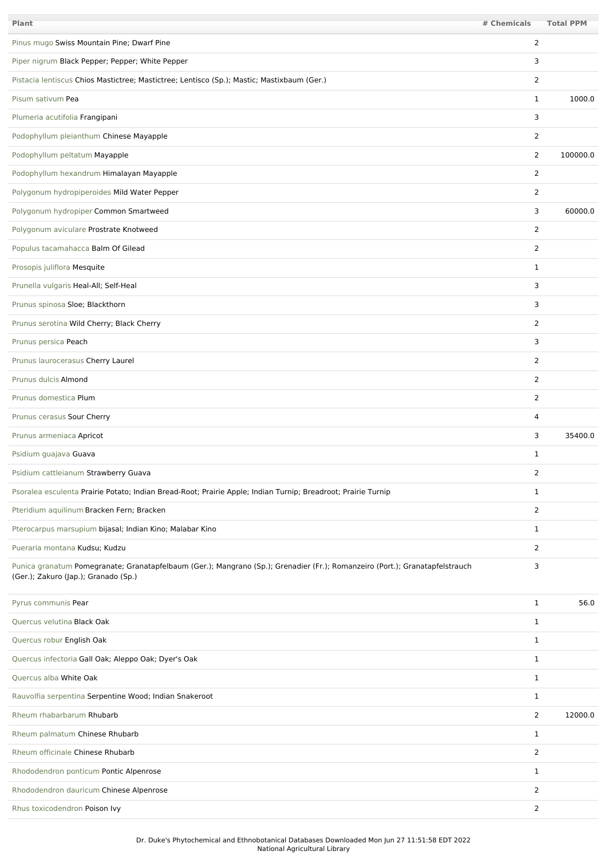| Plant                                                                                                                                                                | # Chemicals    | <b>Total PPM</b> |
|----------------------------------------------------------------------------------------------------------------------------------------------------------------------|----------------|------------------|
| Pinus mugo Swiss Mountain Pine; Dwarf Pine                                                                                                                           | $\overline{2}$ |                  |
| Piper nigrum Black Pepper; Pepper; White Pepper                                                                                                                      | 3              |                  |
| Pistacia lentiscus Chios Mastictree; Mastictree; Lentisco (Sp.); Mastic; Mastixbaum (Ger.)                                                                           | $\overline{2}$ |                  |
| Pisum sativum Pea                                                                                                                                                    | $\mathbf{1}$   | 1000.0           |
| Plumeria acutifolia Frangipani                                                                                                                                       | 3              |                  |
| Podophyllum pleianthum Chinese Mayapple                                                                                                                              | 2              |                  |
| Podophyllum peltatum Mayapple                                                                                                                                        | $\overline{2}$ | 100000.0         |
| Podophyllum hexandrum Himalayan Mayapple                                                                                                                             | 2              |                  |
| Polygonum hydropiperoides Mild Water Pepper                                                                                                                          | 2              |                  |
| Polygonum hydropiper Common Smartweed                                                                                                                                | 3              | 60000.0          |
| Polygonum aviculare Prostrate Knotweed                                                                                                                               | 2              |                  |
| Populus tacamahacca Balm Of Gilead                                                                                                                                   | 2              |                  |
| Prosopis juliflora Mesquite                                                                                                                                          | 1              |                  |
| Prunella vulgaris Heal-All; Self-Heal                                                                                                                                | 3              |                  |
| Prunus spinosa Sloe; Blackthorn                                                                                                                                      | 3              |                  |
| Prunus serotina Wild Cherry; Black Cherry                                                                                                                            | 2              |                  |
| Prunus persica Peach                                                                                                                                                 | 3              |                  |
| Prunus laurocerasus Cherry Laurel                                                                                                                                    | 2              |                  |
| Prunus dulcis Almond                                                                                                                                                 | 2              |                  |
| Prunus domestica Plum                                                                                                                                                | $\overline{2}$ |                  |
| Prunus cerasus Sour Cherry                                                                                                                                           | 4              |                  |
| Prunus armeniaca Apricot                                                                                                                                             | 3              | 35400.0          |
| Psidium guajava Guava                                                                                                                                                | 1              |                  |
| Psidium cattleianum Strawberry Guava                                                                                                                                 | 2              |                  |
| Psoralea esculenta Prairie Potato; Indian Bread-Root; Prairie Apple; Indian Turnip; Breadroot; Prairie Turnip                                                        | 1              |                  |
| Pteridium aquilinum Bracken Fern; Bracken                                                                                                                            | 2              |                  |
| Pterocarpus marsupium bijasal; Indian Kino; Malabar Kino                                                                                                             | $\mathbf{1}$   |                  |
| Pueraria montana Kudsu; Kudzu                                                                                                                                        | 2              |                  |
| Punica granatum Pomegranate; Granatapfelbaum (Ger.); Mangrano (Sp.); Grenadier (Fr.); Romanzeiro (Port.); Granatapfelstrauch<br>(Ger.); Zakuro (Jap.); Granado (Sp.) | 3              |                  |
| Pyrus communis Pear                                                                                                                                                  | $\mathbf{1}$   | 56.0             |
| Quercus velutina Black Oak                                                                                                                                           | $\mathbf{1}$   |                  |
| Quercus robur English Oak                                                                                                                                            | $\mathbf{1}$   |                  |
| Quercus infectoria Gall Oak; Aleppo Oak; Dyer's Oak                                                                                                                  | $\mathbf{1}$   |                  |
| Quercus alba White Oak                                                                                                                                               | $\mathbf{1}$   |                  |
| Rauvolfia serpentina Serpentine Wood; Indian Snakeroot                                                                                                               | $\mathbf{1}$   |                  |
| Rheum rhabarbarum Rhubarb                                                                                                                                            | $\overline{2}$ | 12000.0          |
| Rheum palmatum Chinese Rhubarb                                                                                                                                       | $\mathbf{1}$   |                  |
| Rheum officinale Chinese Rhubarb                                                                                                                                     | $\overline{2}$ |                  |
| Rhododendron ponticum Pontic Alpenrose                                                                                                                               | $\mathbf{1}$   |                  |
| Rhododendron dauricum Chinese Alpenrose                                                                                                                              | 2              |                  |
| Rhus toxicodendron Poison Ivy                                                                                                                                        | $\overline{2}$ |                  |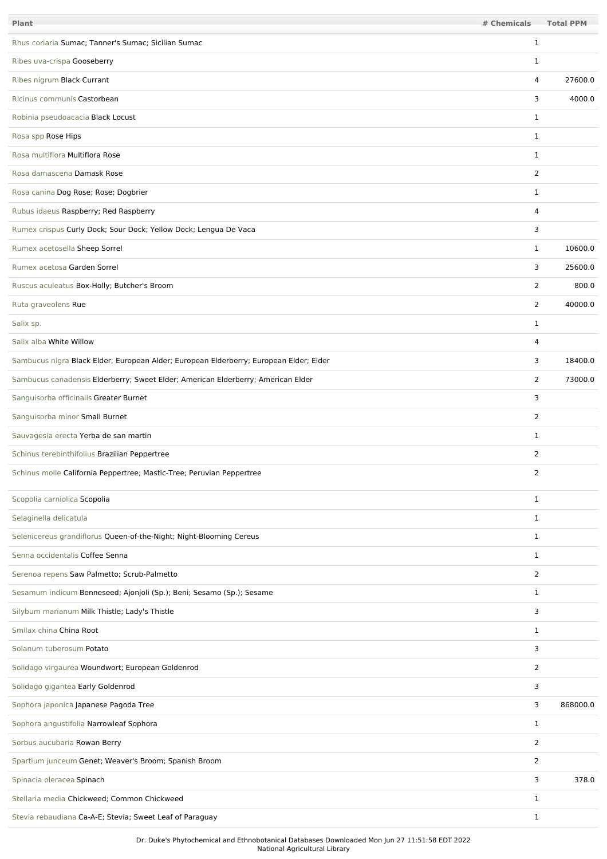| Plant                                                                                  | # Chemicals    | <b>Total PPM</b> |
|----------------------------------------------------------------------------------------|----------------|------------------|
| Rhus coriaria Sumac; Tanner's Sumac; Sicilian Sumac                                    | 1              |                  |
| Ribes uva-crispa Gooseberry                                                            | 1              |                  |
| Ribes nigrum Black Currant                                                             | 4              | 27600.0          |
| Ricinus communis Castorbean                                                            | 3              | 4000.0           |
| Robinia pseudoacacia Black Locust                                                      | $\mathbf 1$    |                  |
| Rosa spp Rose Hips                                                                     | $\mathbf 1$    |                  |
| Rosa multiflora Multiflora Rose                                                        | $\mathbf{1}$   |                  |
| Rosa damascena Damask Rose                                                             | $\overline{2}$ |                  |
| Rosa canina Dog Rose; Rose; Dogbrier                                                   | $\mathbf{1}$   |                  |
| Rubus idaeus Raspberry; Red Raspberry                                                  | 4              |                  |
| Rumex crispus Curly Dock; Sour Dock; Yellow Dock; Lengua De Vaca                       | 3              |                  |
| Rumex acetosella Sheep Sorrel                                                          | $\mathbf{1}$   | 10600.0          |
| Rumex acetosa Garden Sorrel                                                            | 3              | 25600.0          |
| Ruscus aculeatus Box-Holly; Butcher's Broom                                            | $\overline{2}$ | 800.0            |
| Ruta graveolens Rue                                                                    | $\overline{2}$ | 40000.0          |
| Salix sp.                                                                              | $\mathbf{1}$   |                  |
| Salix alba White Willow                                                                | 4              |                  |
| Sambucus nigra Black Elder; European Alder; European Elderberry; European Elder; Elder | 3              | 18400.0          |
| Sambucus canadensis Elderberry; Sweet Elder; American Elderberry; American Elder       | 2              | 73000.0          |
| Sanguisorba officinalis Greater Burnet                                                 | 3              |                  |
| Sanguisorba minor Small Burnet                                                         | $\overline{2}$ |                  |
| Sauvagesia erecta Yerba de san martin                                                  | 1              |                  |
| Schinus terebinthifolius Brazilian Peppertree                                          | $\overline{2}$ |                  |
| Schinus molle California Peppertree; Mastic-Tree; Peruvian Peppertree                  | 2              |                  |
| Scopolia carniolica Scopolia                                                           | $\mathbf{1}$   |                  |
| Selaginella delicatula                                                                 | $\mathbf{1}$   |                  |
| Selenicereus grandiflorus Queen-of-the-Night; Night-Blooming Cereus                    | $\mathbf{1}$   |                  |
| Senna occidentalis Coffee Senna                                                        | $\mathbf 1$    |                  |
| Serenoa repens Saw Palmetto; Scrub-Palmetto                                            | $\overline{2}$ |                  |
| Sesamum indicum Benneseed; Ajonjoli (Sp.); Beni; Sesamo (Sp.); Sesame                  | $\mathbf{1}$   |                  |
| Silybum marianum Milk Thistle; Lady's Thistle                                          | 3              |                  |
| Smilax china China Root                                                                | $\mathbf{1}$   |                  |
| Solanum tuberosum Potato                                                               | 3              |                  |
| Solidago virgaurea Woundwort; European Goldenrod                                       | $\overline{2}$ |                  |
| Solidago gigantea Early Goldenrod                                                      | 3              |                  |
| Sophora japonica Japanese Pagoda Tree                                                  | 3              | 868000.0         |
| Sophora angustifolia Narrowleaf Sophora                                                | 1              |                  |
| Sorbus aucubaria Rowan Berry                                                           | $\overline{2}$ |                  |
| Spartium junceum Genet; Weaver's Broom; Spanish Broom                                  | $\overline{2}$ |                  |
| Spinacia oleracea Spinach                                                              | 3              | 378.0            |
| Stellaria media Chickweed; Common Chickweed                                            | 1              |                  |
| Stevia rebaudiana Ca-A-E; Stevia; Sweet Leaf of Paraguay                               | $\mathbf{1}$   |                  |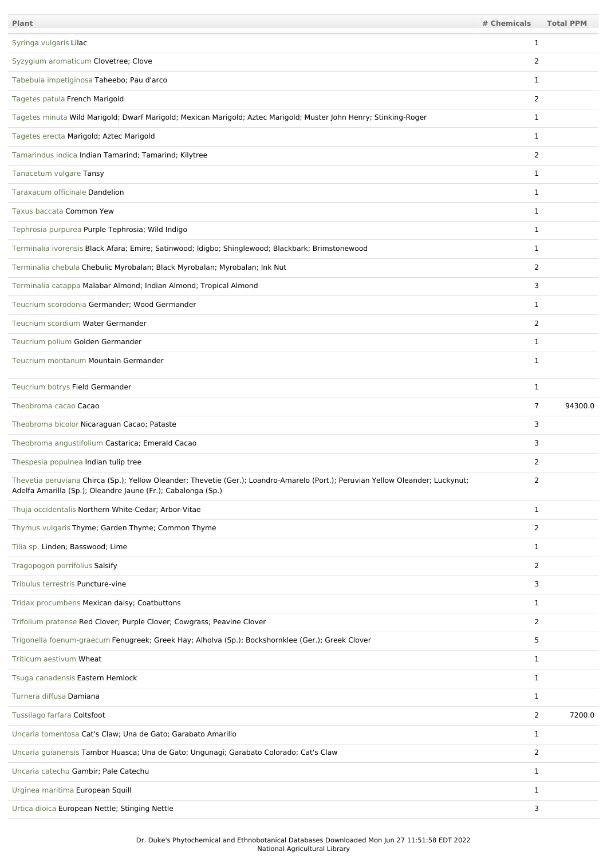| Plant                                                                                                                                                                                           | # Chemicals    | <b>Total PPM</b> |
|-------------------------------------------------------------------------------------------------------------------------------------------------------------------------------------------------|----------------|------------------|
| Syringa vulgaris Lilac                                                                                                                                                                          | 1              |                  |
| Syzygium aromaticum Clovetree; Clove                                                                                                                                                            | 2              |                  |
| Tabebuia impetiginosa Taheebo; Pau d'arco                                                                                                                                                       | $\mathbf 1$    |                  |
| Tagetes patula French Marigold                                                                                                                                                                  | 2              |                  |
| Tagetes minuta Wild Marigold; Dwarf Marigold; Mexican Marigold; Aztec Marigold; Muster John Henry; Stinking-Roger                                                                               | 1              |                  |
| Tagetes erecta Marigold; Aztec Marigold                                                                                                                                                         | 1              |                  |
| Tamarindus indica Indian Tamarind; Tamarind; Kilytree                                                                                                                                           | $\overline{2}$ |                  |
| Tanacetum vulgare Tansy                                                                                                                                                                         | $\mathbf{1}$   |                  |
| Taraxacum officinale Dandelion                                                                                                                                                                  | 1              |                  |
| Taxus baccata Common Yew                                                                                                                                                                        | 1              |                  |
| Tephrosia purpurea Purple Tephrosia; Wild Indigo                                                                                                                                                | $\mathbf 1$    |                  |
| Terminalia ivorensis Black Afara; Emire; Satinwood; Idigbo; Shinglewood; Blackbark; Brimstonewood                                                                                               | $\mathbf{1}$   |                  |
| Terminalia chebula Chebulic Myrobalan; Black Myrobalan; Myrobalan; Ink Nut                                                                                                                      | $\overline{2}$ |                  |
| Terminalia catappa Malabar Almond; Indian Almond; Tropical Almond                                                                                                                               | 3              |                  |
| Teucrium scorodonia Germander; Wood Germander                                                                                                                                                   | 1              |                  |
| Teucrium scordium Water Germander                                                                                                                                                               | $\overline{2}$ |                  |
| Teucrium polium Golden Germander                                                                                                                                                                | 1              |                  |
| Teucrium montanum Mountain Germander                                                                                                                                                            | 1              |                  |
| Teucrium botrys Field Germander                                                                                                                                                                 | $\mathbf 1$    |                  |
| Theobroma cacao Cacao                                                                                                                                                                           | $\overline{7}$ | 94300.0          |
| Theobroma bicolor Nicaraguan Cacao; Pataste                                                                                                                                                     | 3              |                  |
| Theobroma angustifolium Castarica; Emerald Cacao                                                                                                                                                | 3              |                  |
| Thespesia populnea Indian tulip tree                                                                                                                                                            | 2              |                  |
| Thevetia peruviana Chirca (Sp.); Yellow Oleander; Thevetie (Ger.); Loandro-Amarelo (Port.); Peruvian Yellow Oleander; Luckynut;<br>Adelfa Amarilla (Sp.); Oleandre Jaune (Fr.); Cabalonga (Sp.) | $\overline{2}$ |                  |
| Thuja occidentalis Northern White-Cedar; Arbor-Vitae                                                                                                                                            | $\mathbf{1}$   |                  |
| Thymus vulgaris Thyme; Garden Thyme; Common Thyme                                                                                                                                               | $\overline{2}$ |                  |
| Tilia sp. Linden; Basswood; Lime                                                                                                                                                                | $\mathbf{1}$   |                  |
| Tragopogon porrifolius Salsify                                                                                                                                                                  | $\overline{2}$ |                  |
| Tribulus terrestris Puncture-vine                                                                                                                                                               | 3              |                  |
| Tridax procumbens Mexican daisy; Coatbuttons                                                                                                                                                    | $\mathbf{1}$   |                  |
| Trifolium pratense Red Clover; Purple Clover; Cowgrass; Peavine Clover                                                                                                                          | $\overline{2}$ |                  |
| Trigonella foenum-graecum Fenugreek; Greek Hay; Alholva (Sp.); Bockshornklee (Ger.); Greek Clover                                                                                               | 5              |                  |
| Triticum aestivum Wheat                                                                                                                                                                         | $\mathbf{1}$   |                  |
| Tsuga canadensis Eastern Hemlock                                                                                                                                                                | $\mathbf{1}$   |                  |
| Turnera diffusa Damiana                                                                                                                                                                         | $\mathbf{1}$   |                  |
| Tussilago farfara Coltsfoot                                                                                                                                                                     | $\overline{2}$ | 7200.0           |
| Uncaria tomentosa Cat's Claw; Una de Gato; Garabato Amarillo                                                                                                                                    | $\mathbf{1}$   |                  |
| Uncaria guianensis Tambor Huasca; Una de Gato; Ungunagi; Garabato Colorado; Cat's Claw                                                                                                          | $\overline{2}$ |                  |
| Uncaria catechu Gambir; Pale Catechu                                                                                                                                                            | $\mathbf{1}$   |                  |
| Urginea maritima European Squill                                                                                                                                                                | $\mathbf{1}$   |                  |
| Urtica dioica European Nettle; Stinging Nettle                                                                                                                                                  | 3              |                  |